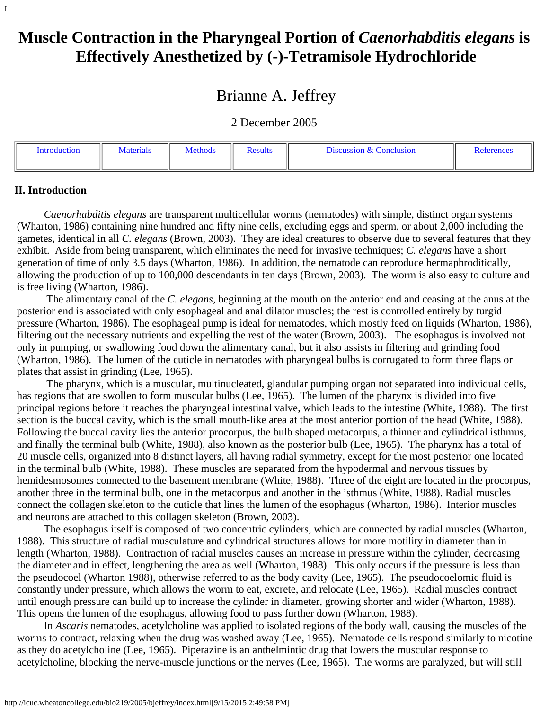<span id="page-0-1"></span>I

# **Muscle Contraction in the Pharyngeal Portion of** *Caenorhabditis elegans* **is Effectively Anesthetized by (-)-Tetramisole Hydrochloride**

## Brianne A. Jeffrey

2 December 2005

| troduction | <i>Aaterials</i> | Methods | Results | <i><b>Discussion</b></i><br>Conclusion |  |
|------------|------------------|---------|---------|----------------------------------------|--|
|            |                  |         |         |                                        |  |

#### <span id="page-0-0"></span>**II. Introduction**

 *Caenorhabditis elegans* are transparent multicellular worms (nematodes) with simple, distinct organ systems (Wharton, 1986) containing nine hundred and fifty nine cells, excluding eggs and sperm, or about 2,000 including the gametes, identical in all *C. elegans* (Brown, 2003). They are ideal creatures to observe due to several features that they exhibit. Aside from being transparent, which eliminates the need for invasive techniques; *C. elegans* have a short generation of time of only 3.5 days (Wharton, 1986). In addition, the nematode can reproduce hermaphroditically, allowing the production of up to 100,000 descendants in ten days (Brown, 2003). The worm is also easy to culture and is free living (Wharton, 1986).

 The alimentary canal of the *C. elegans*, beginning at the mouth on the anterior end and ceasing at the anus at the posterior end is associated with only esophageal and anal dilator muscles; the rest is controlled entirely by turgid pressure (Wharton, 1986). The esophageal pump is ideal for nematodes, which mostly feed on liquids (Wharton, 1986), filtering out the necessary nutrients and expelling the rest of the water (Brown, 2003). The esophagus is involved not only in pumping, or swallowing food down the alimentary canal, but it also assists in filtering and grinding food (Wharton, 1986). The lumen of the cuticle in nematodes with pharyngeal bulbs is corrugated to form three flaps or plates that assist in grinding (Lee, 1965).

 The pharynx, which is a muscular, multinucleated, glandular pumping organ not separated into individual cells, has regions that are swollen to form muscular bulbs (Lee, 1965). The lumen of the pharynx is divided into five principal regions before it reaches the pharyngeal intestinal valve, which leads to the intestine (White, 1988). The first section is the buccal cavity, which is the small mouth-like area at the most anterior portion of the head (White, 1988). Following the buccal cavity lies the anterior procorpus, the bulb shaped metacorpus, a thinner and cylindrical isthmus, and finally the terminal bulb (White, 1988), also known as the posterior bulb (Lee, 1965). The pharynx has a total of 20 muscle cells, organized into 8 distinct layers, all having radial symmetry, except for the most posterior one located in the terminal bulb (White, 1988). These muscles are separated from the hypodermal and nervous tissues by hemidesmosomes connected to the basement membrane (White, 1988). Three of the eight are located in the procorpus, another three in the terminal bulb, one in the metacorpus and another in the isthmus (White, 1988). Radial muscles connect the collagen skeleton to the cuticle that lines the lumen of the esophagus (Wharton, 1986). Interior muscles and neurons are attached to this collagen skeleton (Brown, 2003).

 The esophagus itself is composed of two concentric cylinders, which are connected by radial muscles (Wharton, 1988). This structure of radial musculature and cylindrical structures allows for more motility in diameter than in length (Wharton, 1988). Contraction of radial muscles causes an increase in pressure within the cylinder, decreasing the diameter and in effect, lengthening the area as well (Wharton, 1988). This only occurs if the pressure is less than the pseudocoel (Wharton 1988), otherwise referred to as the body cavity (Lee, 1965). The pseudocoelomic fluid is constantly under pressure, which allows the worm to eat, excrete, and relocate (Lee, 1965). Radial muscles contract until enough pressure can build up to increase the cylinder in diameter, growing shorter and wider (Wharton, 1988). This opens the lumen of the esophagus, allowing food to pass further down (Wharton, 1988).

 In *Ascaris* nematodes, acetylcholine was applied to isolated regions of the body wall, causing the muscles of the worms to contract, relaxing when the drug was washed away (Lee, 1965). Nematode cells respond similarly to nicotine as they do acetylcholine (Lee, 1965). Piperazine is an anthelmintic drug that lowers the muscular response to acetylcholine, blocking the nerve-muscle junctions or the nerves (Lee, 1965). The worms are paralyzed, but will still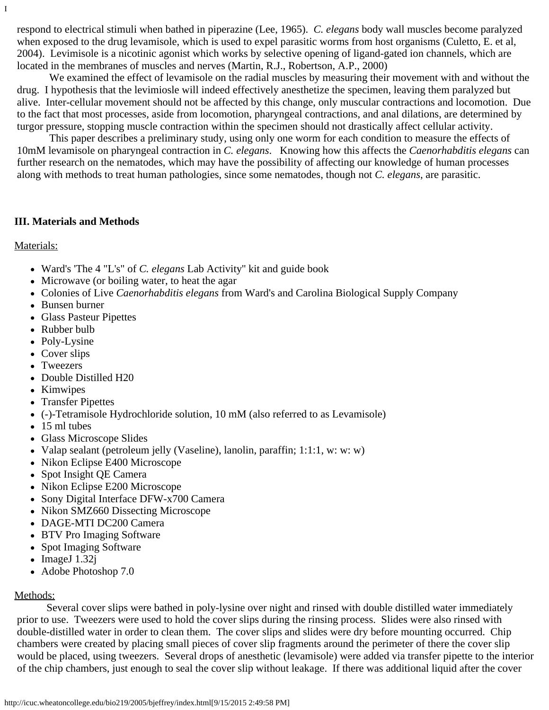respond to electrical stimuli when bathed in piperazine (Lee, 1965). *C. elegans* body wall muscles become paralyzed when exposed to the drug levamisole, which is used to expel parasitic worms from host organisms (Culetto, E. et al, 2004). Levimisole is a nicotinic agonist which works by selective opening of ligand-gated ion channels, which are located in the membranes of muscles and nerves (Martin, R.J., Robertson, A.P., 2000)

 We examined the effect of levamisole on the radial muscles by measuring their movement with and without the drug. I hypothesis that the levimiosle will indeed effectively anesthetize the specimen, leaving them paralyzed but alive. Inter-cellular movement should not be affected by this change, only muscular contractions and locomotion. Due to the fact that most processes, aside from locomotion, pharyngeal contractions, and anal dilations, are determined by turgor pressure, stopping muscle contraction within the specimen should not drastically affect cellular activity.

 This paper describes a preliminary study, using only one worm for each condition to measure the effects of 10mM levamisole on pharyngeal contraction in *C. elegans*. Knowing how this affects the *Caenorhabditis elegans* can further research on the nematodes, which may have the possibility of affecting our knowledge of human processes along with methods to treat human pathologies, since some nematodes, though not *C. elegans*, are parasitic.

#### **III. Materials and Methods**

Materials:

I

- Ward's 'The 4 "L's" of *C. elegans* Lab Activity'' kit and guide book
- Microwave (or boiling water, to heat the agar
- Colonies of Live *Caenorhabditis elegans* from Ward's and Carolina Biological Supply Company
- Bunsen burner
- Glass Pasteur Pipettes
- Rubber bulb
- Poly-Lysine
- Cover slips
- Tweezers
- Double Distilled H20
- Kimwipes
- Transfer Pipettes
- (-)-Tetramisole Hydrochloride solution, 10 mM (also referred to as Levamisole)
- 15 ml tubes
- Glass Microscope Slides
- Valap sealant (petroleum jelly (Vaseline), lanolin, paraffin; 1:1:1, w: w: w)
- Nikon Eclipse E400 Microscope
- Spot Insight QE Camera
- Nikon Eclipse E200 Microscope
- Sony Digital Interface DFW-x700 Camera
- Nikon SMZ660 Dissecting Microscope
- DAGE-MTI DC200 Camera
- BTV Pro Imaging Software
- Spot Imaging Software
- $\bullet$  ImageJ 1.32j
- Adobe Photoshop 7.0

### <span id="page-1-0"></span>Methods:

Several cover slips were bathed in poly-lysine over night and rinsed with double distilled water immediately prior to use. Tweezers were used to hold the cover slips during the rinsing process. Slides were also rinsed with double-distilled water in order to clean them. The cover slips and slides were dry before mounting occurred. Chip chambers were created by placing small pieces of cover slip fragments around the perimeter of there the cover slip would be placed, using tweezers. Several drops of anesthetic (levamisole) were added via transfer pipette to the interior of the chip chambers, just enough to seal the cover slip without leakage. If there was additional liquid after the cover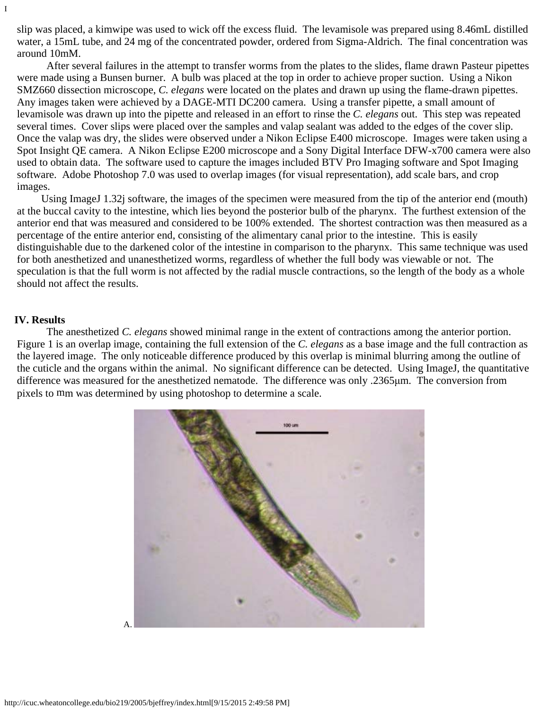slip was placed, a kimwipe was used to wick off the excess fluid. The levamisole was prepared using 8.46mL distilled water, a 15mL tube, and 24 mg of the concentrated powder, ordered from Sigma-Aldrich. The final concentration was around 10mM.

 After several failures in the attempt to transfer worms from the plates to the slides, flame drawn Pasteur pipettes were made using a Bunsen burner. A bulb was placed at the top in order to achieve proper suction. Using a Nikon SMZ660 dissection microscope, *C. elegans* were located on the plates and drawn up using the flame-drawn pipettes. Any images taken were achieved by a DAGE-MTI DC200 camera. Using a transfer pipette, a small amount of levamisole was drawn up into the pipette and released in an effort to rinse the *C. elegans* out. This step was repeated several times. Cover slips were placed over the samples and valap sealant was added to the edges of the cover slip. Once the valap was dry, the slides were observed under a Nikon Eclipse E400 microscope. Images were taken using a Spot Insight QE camera. A Nikon Eclipse E200 microscope and a Sony Digital Interface DFW-x700 camera were also used to obtain data. The software used to capture the images included BTV Pro Imaging software and Spot Imaging software. Adobe Photoshop 7.0 was used to overlap images (for visual representation), add scale bars, and crop images.

 Using ImageJ 1.32j software, the images of the specimen were measured from the tip of the anterior end (mouth) at the buccal cavity to the intestine, which lies beyond the posterior bulb of the pharynx. The furthest extension of the anterior end that was measured and considered to be 100% extended. The shortest contraction was then measured as a percentage of the entire anterior end, consisting of the alimentary canal prior to the intestine. This is easily distinguishable due to the darkened color of the intestine in comparison to the pharynx. This same technique was used for both anesthetized and unanesthetized worms, regardless of whether the full body was viewable or not. The speculation is that the full worm is not affected by the radial muscle contractions, so the length of the body as a whole should not affect the results.

#### <span id="page-2-0"></span>**IV. Results**

I

 The anesthetized *C. elegans* showed minimal range in the extent of contractions among the anterior portion. Figure 1 is an overlap image, containing the full extension of the *C. elegans* as a base image and the full contraction as the layered image. The only noticeable difference produced by this overlap is minimal blurring among the outline of the cuticle and the organs within the animal. No significant difference can be detected. Using ImageJ, the quantitative difference was measured for the anesthetized nematode. The difference was only .2365μm. The conversion from pixels to mm was determined by using photoshop to determine a scale.

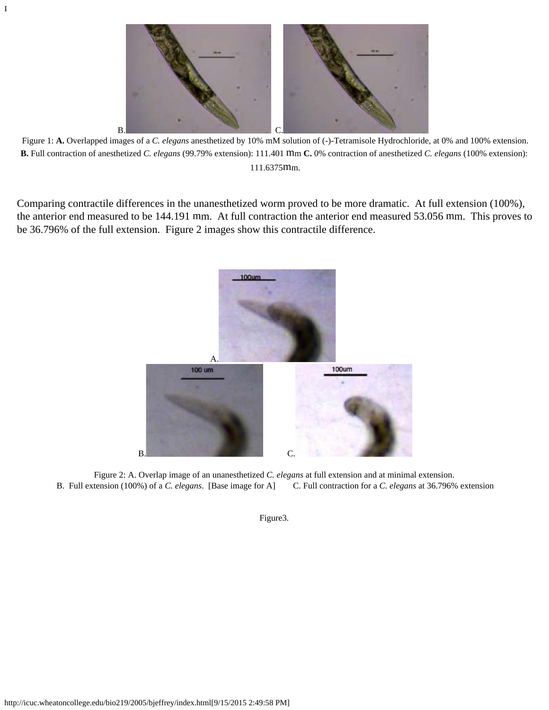Figure 1: **A.** Overlapped images of a *C. elegans* anesthetized by 10% mM solution of (-)-Tetramisole Hydrochloride, at 0% and 100% extension. **B.** Full contraction of anesthetized *C. elegans* (99.79% extension): 111.401 mm **C.** 0% contraction of anesthetized *C. elegans* (100% extension): 111.6375mm.

Comparing contractile differences in the unanesthetized worm proved to be more dramatic. At full extension (100%), the anterior end measured to be 144.191 mm. At full contraction the anterior end measured 53.056 mm. This proves to be 36.796% of the full extension. Figure 2 images show this contractile difference.



Figure 2: A. Overlap image of an unanesthetized *C. elegans* at full extension and at minimal extension. B. Full extension (100%) of a *C. elegans*. [Base image for A] C. Full contraction for a *C. elegans* at 36.796% extension

Figure3.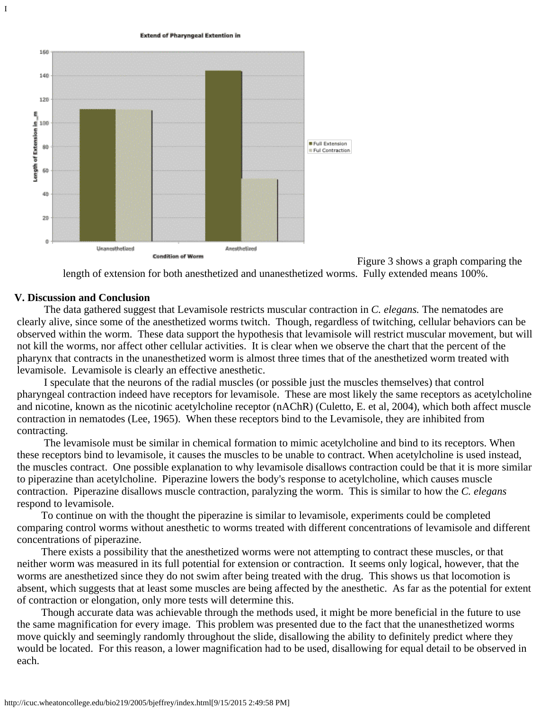**Extend of Pharyngeal Extention in** 



Figure 3 shows a graph comparing the length of extension for both anesthetized and unanesthetized worms. Fully extended means 100%.

#### <span id="page-4-0"></span>**V. Discussion and Conclusion**

I

The data gathered suggest that Levamisole restricts muscular contraction in *C. elegans.* The nematodes are clearly alive, since some of the anesthetized worms twitch. Though, regardless of twitching, cellular behaviors can be observed within the worm. These data support the hypothesis that levamisole will restrict muscular movement, but will not kill the worms, nor affect other cellular activities. It is clear when we observe the chart that the percent of the pharynx that contracts in the unanesthetized worm is almost three times that of the anesthetized worm treated with levamisole. Levamisole is clearly an effective anesthetic.

 I speculate that the neurons of the radial muscles (or possible just the muscles themselves) that control pharyngeal contraction indeed have receptors for levamisole. These are most likely the same receptors as acetylcholine and nicotine, known as the nicotinic acetylcholine receptor (nAChR) (Culetto, E. et al, 2004), which both affect muscle contraction in nematodes (Lee, 1965). When these receptors bind to the Levamisole, they are inhibited from contracting.

 The levamisole must be similar in chemical formation to mimic acetylcholine and bind to its receptors. When these receptors bind to levamisole, it causes the muscles to be unable to contract. When acetylcholine is used instead, the muscles contract. One possible explanation to why levamisole disallows contraction could be that it is more similar to piperazine than acetylcholine. Piperazine lowers the body's response to acetylcholine, which causes muscle contraction. Piperazine disallows muscle contraction, paralyzing the worm. This is similar to how the *C. elegans* respond to levamisole.

 To continue on with the thought the piperazine is similar to levamisole, experiments could be completed comparing control worms without anesthetic to worms treated with different concentrations of levamisole and different concentrations of piperazine.

 There exists a possibility that the anesthetized worms were not attempting to contract these muscles, or that neither worm was measured in its full potential for extension or contraction. It seems only logical, however, that the worms are anesthetized since they do not swim after being treated with the drug. This shows us that locomotion is absent, which suggests that at least some muscles are being affected by the anesthetic. As far as the potential for extent of contraction or elongation, only more tests will determine this.

 Though accurate data was achievable through the methods used, it might be more beneficial in the future to use the same magnification for every image. This problem was presented due to the fact that the unanesthetized worms move quickly and seemingly randomly throughout the slide, disallowing the ability to definitely predict where they would be located. For this reason, a lower magnification had to be used, disallowing for equal detail to be observed in each.